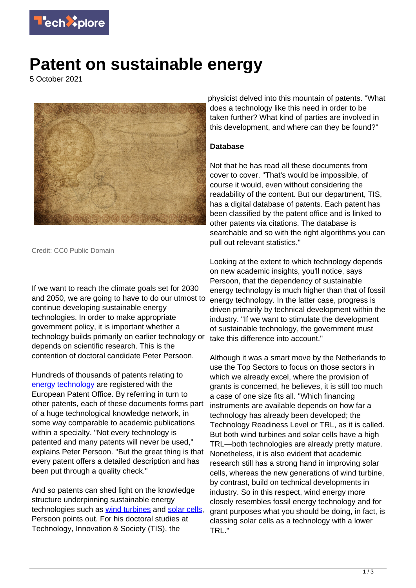

## **Patent on sustainable energy**

5 October 2021



Credit: CC0 Public Domain

If we want to reach the climate goals set for 2030 and 2050, we are going to have to do our utmost to continue developing sustainable energy technologies. In order to make appropriate government policy, it is important whether a technology builds primarily on earlier technology or depends on scientific research. This is the contention of doctoral candidate Peter Persoon.

Hundreds of thousands of patents relating to [energy technology](https://techxplore.com/tags/energy+technology/) are registered with the European Patent Office. By referring in turn to other patents, each of these documents forms part of a huge technological knowledge network, in some way comparable to academic publications within a specialty. "Not every technology is patented and many patents will never be used," explains Peter Persoon. "But the great thing is that every patent offers a detailed description and has been put through a quality check."

And so patents can shed light on the knowledge structure underpinning sustainable energy technologies such as [wind turbines](https://techxplore.com/tags/wind+turbines/) and [solar cells](https://techxplore.com/tags/solar+cells/). Persoon points out. For his doctoral studies at Technology, Innovation & Society (TIS), the

physicist delved into this mountain of patents. "What does a technology like this need in order to be taken further? What kind of parties are involved in this development, and where can they be found?"

## **Database**

Not that he has read all these documents from cover to cover. "That's would be impossible, of course it would, even without considering the readability of the content. But our department, TIS, has a digital database of patents. Each patent has been classified by the patent office and is linked to other patents via citations. The database is searchable and so with the right algorithms you can pull out relevant statistics."

Looking at the extent to which technology depends on new academic insights, you'll notice, says Persoon, that the dependency of sustainable energy technology is much higher than that of fossil energy technology. In the latter case, progress is driven primarily by technical development within the industry. "If we want to stimulate the development of sustainable technology, the government must take this difference into account."

Although it was a smart move by the Netherlands to use the Top Sectors to focus on those sectors in which we already excel, where the provision of grants is concerned, he believes, it is still too much a case of one size fits all. "Which financing instruments are available depends on how far a technology has already been developed; the Technology Readiness Level or TRL, as it is called. But both wind turbines and solar cells have a high TRL—both technologies are already pretty mature. Nonetheless, it is also evident that academic research still has a strong hand in improving solar cells, whereas the new generations of wind turbine, by contrast, build on technical developments in industry. So in this respect, wind energy more closely resembles fossil energy technology and for grant purposes what you should be doing, in fact, is classing solar cells as a technology with a lower TRL."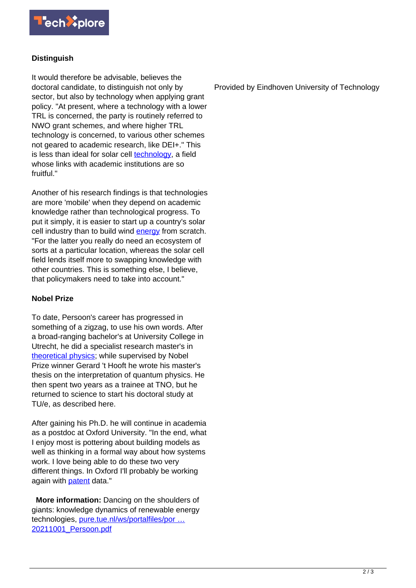

## **Distinguish**

It would therefore be advisable, believes the doctoral candidate, to distinguish not only by sector, but also by technology when applying grant policy. "At present, where a technology with a lower TRL is concerned, the party is routinely referred to NWO grant schemes, and where higher TRL technology is concerned, to various other schemes not geared to academic research, like DEI+." This is less than ideal for solar cell [technology](https://techxplore.com/tags/technology/), a field whose links with academic institutions are so fruitful."

Another of his research findings is that technologies are more 'mobile' when they depend on academic knowledge rather than technological progress. To put it simply, it is easier to start up a country's solar cell industry than to build wind **energy** from scratch. "For the latter you really do need an ecosystem of sorts at a particular location, whereas the solar cell field lends itself more to swapping knowledge with other countries. This is something else, I believe, that policymakers need to take into account."

## **Nobel Prize**

To date, Persoon's career has progressed in something of a zigzag, to use his own words. After a broad-ranging bachelor's at University College in Utrecht, he did a specialist research master's in [theoretical physics;](https://techxplore.com/tags/theoretical+physics/) while supervised by Nobel Prize winner Gerard 't Hooft he wrote his master's thesis on the interpretation of quantum physics. He then spent two years as a trainee at TNO, but he returned to science to start his doctoral study at TU/e, as described here.

After gaining his Ph.D. he will continue in academia as a postdoc at Oxford University. "In the end, what I enjoy most is pottering about building models as well as thinking in a formal way about how systems work. I love being able to do these two very different things. In Oxford I'll probably be working again with **patent** data."

 **More information:** Dancing on the shoulders of giants: knowledge dynamics of renewable energy technologies, pure.tue.nl/ws/portalfiles/por ... [20211001\\_Persoon.pdf](https://pure.tue.nl/ws/portalfiles/portal/187422705/20211001_Persoon.pdf)

Provided by Eindhoven University of Technology